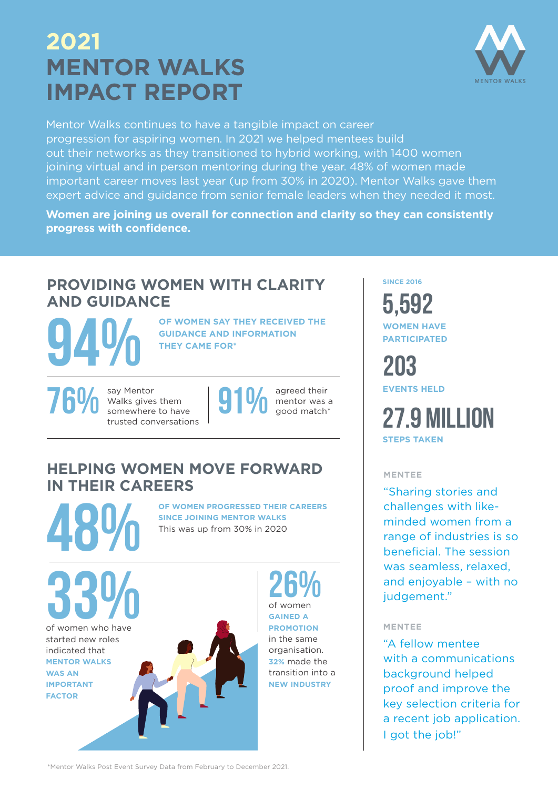# **MENTOR WALKS IMPACT REPORT 2021**



Mentor Walks continues to have a tangible impact on career progression for aspiring women. In 2021 we helped mentees build out their networks as they transitioned to hybrid working, with 1400 women joining virtual and in person mentoring during the year. 48% of women made important career moves last year (up from 30% in 2020). Mentor Walks gave them expert advice and guidance from senior female leaders when they needed it most.

**Women are joining us overall for connection and clarity so they can consistently progress with confidence.**

## **PROVIDING WOMEN WITH CLARITY AND GUIDANCE**

OF WOMEN SAY THEY RECEIVED THE GUIDANCE AND INFORMATION THEY CAME FOR<sup>\*</sup> **GUIDANCE AND INFORMATION THEY CAME FOR\***

**FOU SAN Mentor** Walks gives them<br>
somewhere to have<br> **EVENTS HELD**<br> **OU** Somewhere to have<br> **OU** Somewhere to have<br> **OU** Somewhere to have<br> **OU** Somewhere to have Walks gives them somewhere to have trusted conversations



agreed their mentor was a good match\*

### **HELPING WOMEN MOVE FORWARD IN THEIR CAREERS**

OF WOMEN PROGRESSED THEIR CAREERS SINCE JOINING MENTOR WALKS<br>This was up from 30% in 2020 **SINCE JOINING MENTOR WALKS** This was up from 30% in 2020

of women who have started new roles indicated that **MENTOR WALKS WAS AN IMPORTANT FACTOR** 33%

26% of women **GAINED A PROMOTION** in the same organisation. **32%** made the transition into a **NEW INDUSTRY**

**SINCE 2016**

5,592 **WOMEN HAVE PARTICIPATED** 

203

**STEPS TAKEN** 27.9 MILLION

### **MENTEE**

"Sharing stories and challenges with likeminded women from a range of industries is so beneficial. The session was seamless, relaxed, and enjoyable – with no judgement."

### **MENTEE**

"A fellow mentee with a communications background helped proof and improve the key selection criteria for a recent job application. I got the job!"